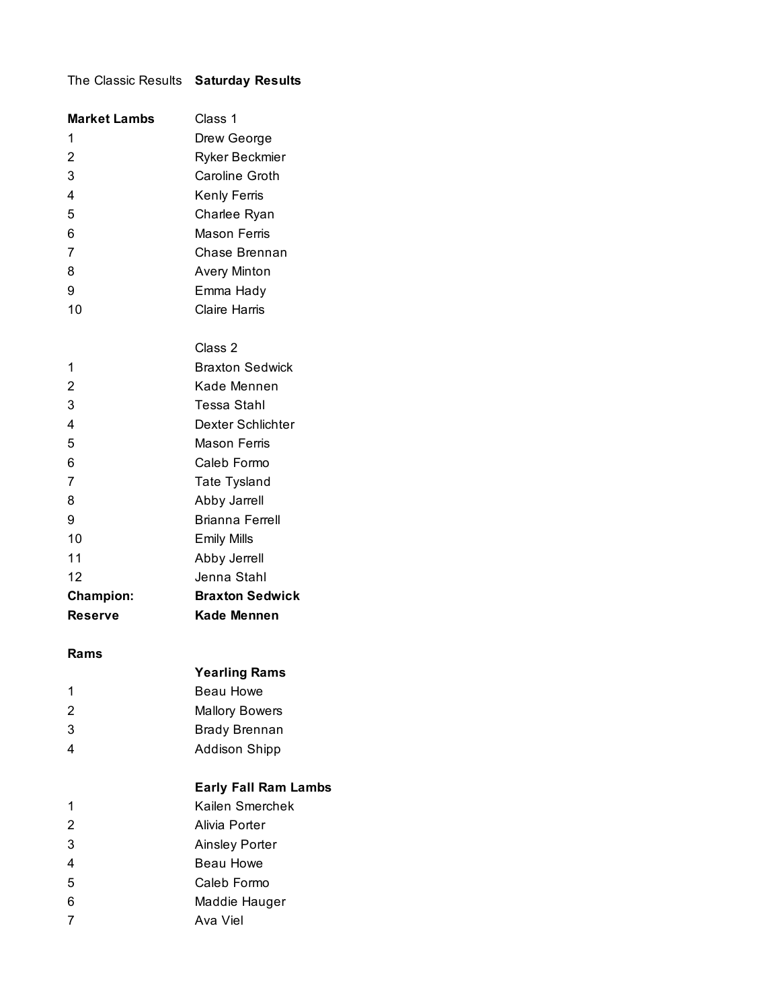## The Classic Results **Saturday Results**

| <b>Market Lambs</b>     | Class 1                |
|-------------------------|------------------------|
| 1                       | Drew George            |
| $\overline{2}$          | Ryker Beckmier         |
| 3                       | Caroline Groth         |
| $\overline{4}$          | Kenly Ferris           |
| 5                       | Charlee Ryan           |
| 6                       | Mason Ferris           |
| $\overline{7}$          | Chase Brennan          |
| 8                       | <b>Avery Minton</b>    |
| 9                       | Emma Hady              |
| 10                      | <b>Claire Harris</b>   |
|                         |                        |
|                         | Class 2                |
| 1                       | <b>Braxton Sedwick</b> |
| $\overline{2}$          | Kade Mennen            |
| 3                       | Tessa Stahl            |
| $\overline{\mathbf{4}}$ | Dexter Schlichter      |
| 5                       | Mason Ferris           |
| 6                       | Caleb Formo            |
| 7                       | Tate Tysland           |
| 8                       | Abby Jarrell           |
| 9                       | Brianna Ferrell        |
| 10                      | <b>Emily Mills</b>     |
| 11                      | Abby Jerrell           |
| 12                      | Jenna Stahl            |
| <b>Champion:</b>        | <b>Braxton Sedwick</b> |
| <b>Reserve</b>          | <b>Kade Mennen</b>     |

#### **Rams**

|   | <b>Yearling Rams</b> |
|---|----------------------|
| 1 | Beau Howe            |

|   | pouu i ivwo           |
|---|-----------------------|
| 2 | <b>Mallory Bowers</b> |
| 3 | <b>Brady Brennan</b>  |

Addison Shipp

# **Early Fall Ram Lambs**

- Kailen Smerchek
- Alivia Porter
- Ainsley Porter
- Beau Howe
- Caleb Formo
- Maddie Hauger
- 7 Ava Viel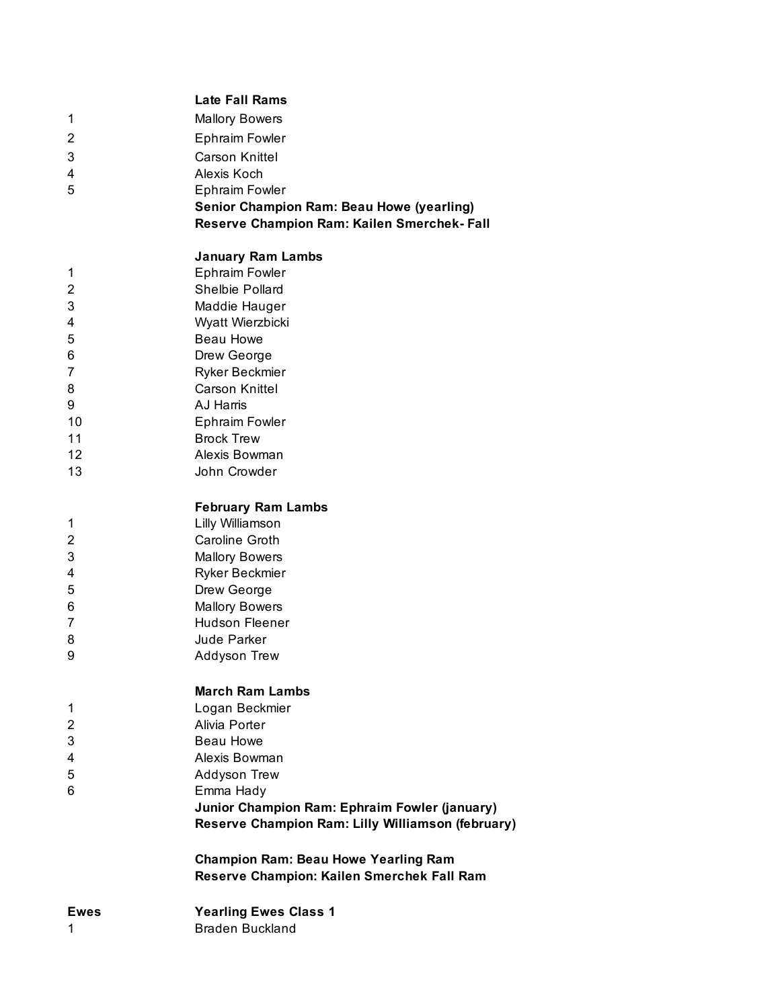|                | <b>Late Fall Rams</b>                                  |
|----------------|--------------------------------------------------------|
| 1              | <b>Mallory Bowers</b>                                  |
| 2              | <b>Ephraim Fowler</b>                                  |
| 3              | <b>Carson Knittel</b>                                  |
| 4              | Alexis Koch                                            |
| 5              | <b>Ephraim Fowler</b>                                  |
|                | <b>Senior Champion Ram: Beau Howe (yearling)</b>       |
|                | Reserve Champion Ram: Kailen Smerchek-Fall             |
|                |                                                        |
|                | <b>January Ram Lambs</b>                               |
| 1              | <b>Ephraim Fowler</b>                                  |
| 2              | Shelbie Pollard                                        |
| 3              | Maddie Hauger                                          |
| 4              | Wyatt Wierzbicki<br><b>Beau Howe</b>                   |
| 5              |                                                        |
| 6<br>7         | Drew George<br>Ryker Beckmier                          |
| 8              | <b>Carson Knittel</b>                                  |
| 9              | AJ Harris                                              |
| 10             | <b>Ephraim Fowler</b>                                  |
| 11             | <b>Brock Trew</b>                                      |
| 12             | Alexis Bowman                                          |
| 13             | John Crowder                                           |
|                |                                                        |
|                | <b>February Ram Lambs</b>                              |
| 1              | Lilly Williamson                                       |
| $\overline{c}$ | <b>Caroline Groth</b>                                  |
| 3              | <b>Mallory Bowers</b>                                  |
| 4              | Ryker Beckmier                                         |
| 5              | Drew George                                            |
| 6              | <b>Mallory Bowers</b>                                  |
| 7              | Hudson Fleener                                         |
| 8              | Jude Parker                                            |
| 9              | Addyson Trew                                           |
|                |                                                        |
|                | <b>March Ram Lambs</b>                                 |
| 1              | Logan Beckmier                                         |
| 2              | Alivia Porter                                          |
| 3              | Beau Howe                                              |
| 4              | Alexis Bowman                                          |
| 5              | Addyson Trew                                           |
| 6              | Emma Hady                                              |
|                | Junior Champion Ram: Ephraim Fowler (january)          |
|                | Reserve Champion Ram: Lilly Williamson (february)      |
|                | <b>Champion Ram: Beau Howe Yearling Ram</b>            |
|                | Reserve Champion: Kailen Smerchek Fall Ram             |
| <b>Ewes</b>    |                                                        |
| 1              | <b>Yearling Ewes Class 1</b><br><b>Braden Buckland</b> |
|                |                                                        |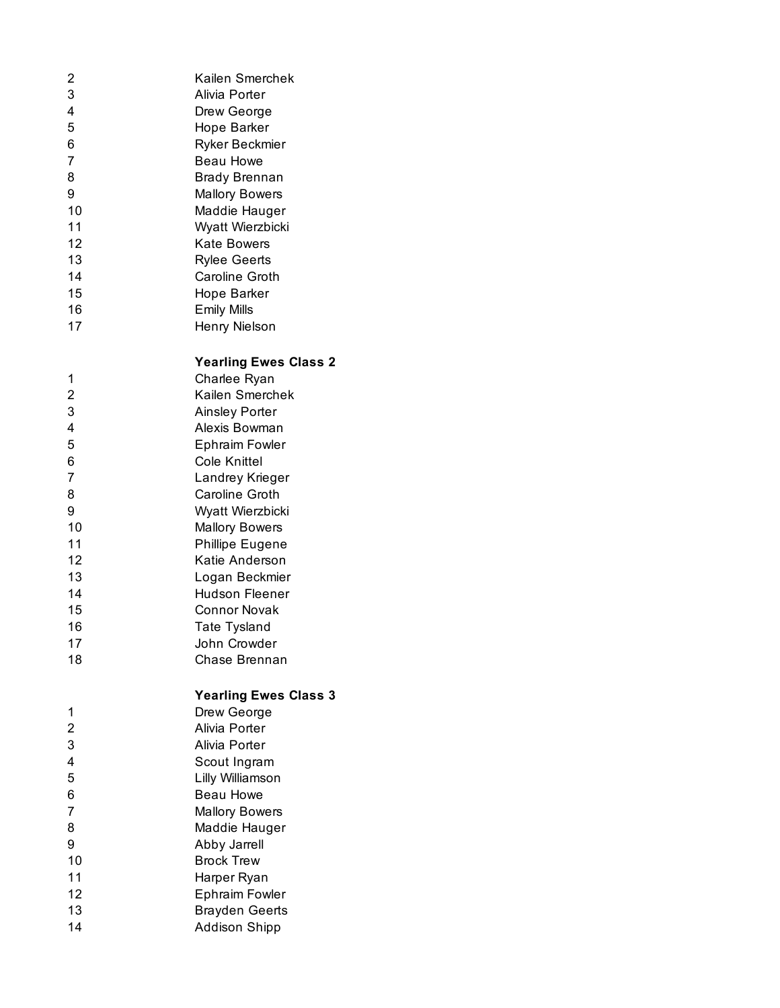| 2              | Kailen Smerchek              |
|----------------|------------------------------|
| 3              | Alivia Porter                |
| 4              | Drew George                  |
| 5              | Hope Barker                  |
| 6              | Ryker Beckmier               |
| 7              | <b>Beau Howe</b>             |
| 8              | <b>Brady Brennan</b>         |
| 9              | <b>Mallory Bowers</b>        |
| 10             | Maddie Hauger                |
| 11             | Wyatt Wierzbicki             |
| 12             | <b>Kate Bowers</b>           |
| 13             | <b>Rylee Geerts</b>          |
| 14             | <b>Caroline Groth</b>        |
| 15             | Hope Barker                  |
| 16             | <b>Emily Mills</b>           |
| 17             | Henry Nielson                |
|                |                              |
|                | <b>Yearling Ewes Class 2</b> |
| 1              | Charlee Ryan                 |
| 2              | Kailen Smerchek              |
| 3              | <b>Ainsley Porter</b>        |
| 4              | Alexis Bowman                |
| 5              | <b>Ephraim Fowler</b>        |
| 6              | Cole Knittel                 |
| 7              | Landrey Krieger              |
| 8              | Caroline Groth               |
| 9              | Wyatt Wierzbicki             |
| 10             | <b>Mallory Bowers</b>        |
| 11             | <b>Phillipe Eugene</b>       |
| 12             | Katie Anderson               |
| 13             | Logan Beckmier               |
| 14             | <b>Hudson Fleener</b>        |
| 15             | <b>Connor Novak</b>          |
| 16             | Tate Tysland                 |
| 17             | John Crowder                 |
| 18             | Chase Brennan                |
|                |                              |
|                | <b>Yearling Ewes Class 3</b> |
| 1              | Drew George                  |
| $\overline{c}$ | Alivia Porter                |
| 3              | Alivia Porter                |
| 4              | Scout Ingram                 |
| 5              | Lilly Williamson             |
| 6              | <b>Beau Howe</b>             |
| 7              | <b>Mallory Bowers</b>        |
| 8              | Maddie Hauger                |
| 9              | Abby Jarrell                 |
| 10             | <b>Brock Trew</b>            |
| 11             | Harper Ryan                  |
| 12             | <b>Ephraim Fowler</b>        |
| 13             | <b>Brayden Geerts</b>        |
| 14             | <b>Addison Shipp</b>         |
|                |                              |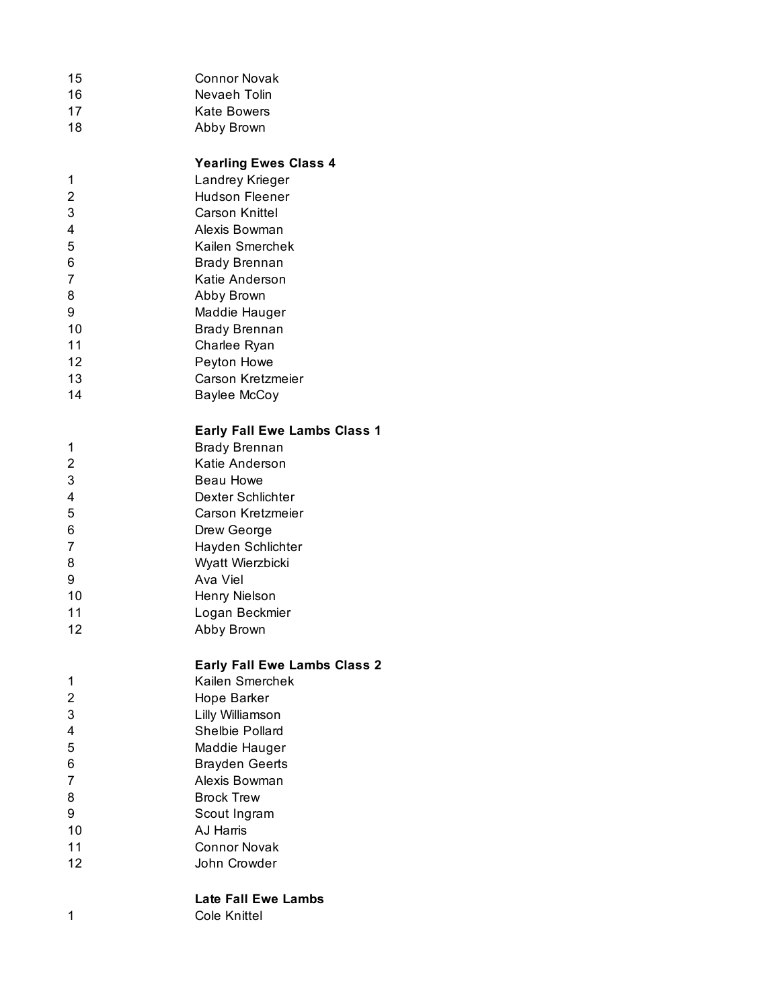| 15 | <b>Connor Novak</b> |
|----|---------------------|
| 16 | Nevaeh Tolin        |
|    |                     |

- 17 Kate Bowers
- Abby Brown

### **Yearling Ewes Class 4**

- Landrey Krieger
- Hudson Fleener
- Carson Knittel
- Alexis Bowman
- Kailen Smerchek
- Brady Brennan
- Katie Anderson Abby Brown
- Maddie Hauger
- Brady Brennan
- Charlee Ryan
- 
- Peyton Howe Carson Kretzmeier
- Baylee McCoy

### **Early Fall Ewe Lambs Class 1**

- Brady Brennan
- Katie Anderson
- Beau Howe
- Dexter Schlichter
- Carson Kretzmeier
- Drew George
- Hayden Schlichter
- Wyatt Wierzbicki
- Ava Viel 10 Henry Nielson
- 
- Logan Beckmier
- Abby Brown

# **Early Fall Ewe Lambs Class 2**

- Kailen Smerchek
- Hope Barker
- Lilly Williamson Shelbie Pollard
- Maddie Hauger
- Brayden Geerts
- Alexis Bowman
- 8 Brock Trew
- Scout Ingram
- AJ Harris
- Connor Novak
- John Crowder

#### **Late Fall Ewe Lambs** Cole Knittel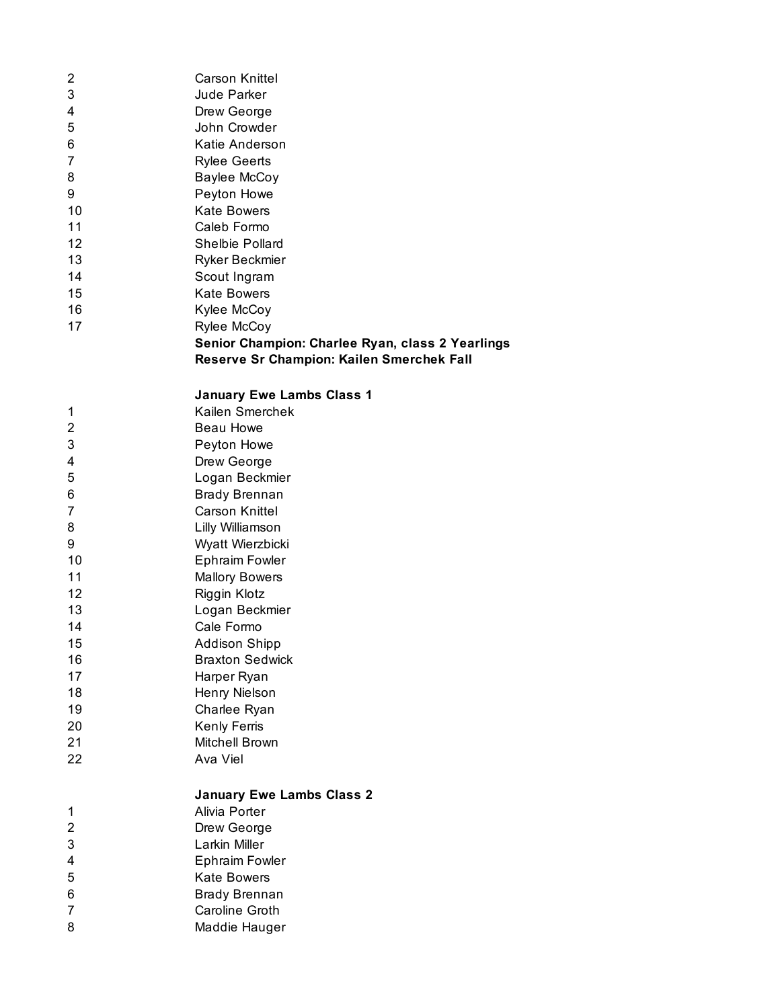| 2  | <b>Carson Knittel</b>                            |
|----|--------------------------------------------------|
| 3  | Jude Parker                                      |
| 4  | Drew George                                      |
| 5  | John Crowder                                     |
| 6  | Katie Anderson                                   |
| 7  | <b>Rylee Geerts</b>                              |
| 8  | Baylee McCoy                                     |
| 9  | Peyton Howe                                      |
| 10 | <b>Kate Bowers</b>                               |
| 11 | Caleb Formo                                      |
| 12 | <b>Shelbie Pollard</b>                           |
| 13 | Ryker Beckmier                                   |
| 14 | Scout Ingram                                     |
| 15 | <b>Kate Bowers</b>                               |
| 16 | Kylee McCoy                                      |
| 17 | Rylee McCoy                                      |
|    | Senior Champion: Charlee Ryan, class 2 Yearlings |
|    | Reserve Sr Champion: Kailen Smerchek Fall        |

## **January Ewe Lambs Class 1**

| 1  | Kailen Smerchek                  |
|----|----------------------------------|
| 2  | Beau Howe                        |
| 3  | Peyton Howe                      |
| 4  | Drew George                      |
| 5  | Logan Beckmier                   |
| 6  | <b>Brady Brennan</b>             |
| 7  | Carson Knittel                   |
| 8  | Lilly Williamson                 |
| 9  | Wyatt Wierzbicki                 |
| 10 | <b>Ephraim Fowler</b>            |
| 11 | <b>Mallory Bowers</b>            |
| 12 | Riggin Klotz                     |
| 13 | Logan Beckmier                   |
| 14 | Cale Formo                       |
| 15 | <b>Addison Shipp</b>             |
| 16 | <b>Braxton Sedwick</b>           |
| 17 | Harper Ryan                      |
| 18 | Henry Nielson                    |
| 19 | Charlee Ryan                     |
| 20 | Kenly Ferris                     |
| 21 | Mitchell Brown                   |
| 22 | Ava Viel                         |
|    | <b>January Ewe Lambs Class 2</b> |
| 1  | Alivia Porter                    |
| 2  | Drew George                      |
| 3  | Larkin Miller                    |
| 4  | <b>Ephraim Fowler</b>            |
| 5  | Kate Bowers                      |
| 6  | <b>Brady Brennan</b>             |

7 Caroline Groth<br>8 Maddie Hauger

Maddie Hauger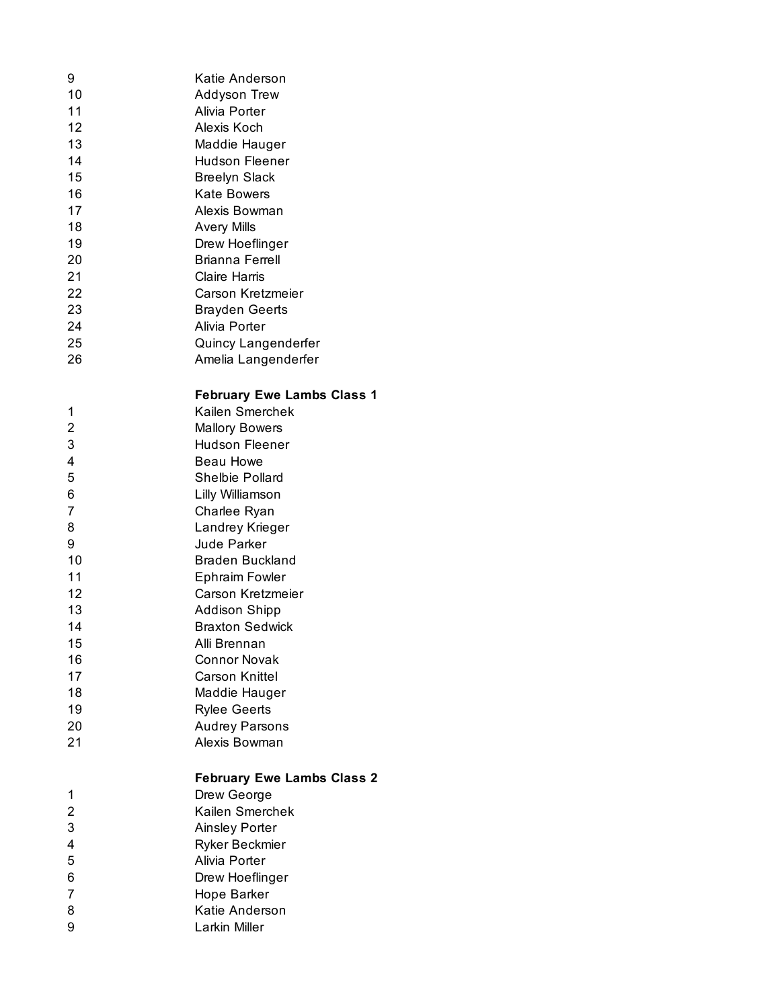| 9              | Katie Anderson                    |
|----------------|-----------------------------------|
| 10             | <b>Addyson Trew</b>               |
| 11             | Alivia Porter                     |
| 12             | Alexis Koch                       |
| 13             | Maddie Hauger                     |
| 14             | Hudson Fleener                    |
| 15             | <b>Breelyn Slack</b>              |
| 16             | Kate Bowers                       |
| 17             | Alexis Bowman                     |
| 18             | <b>Avery Mills</b>                |
| 19             | Drew Hoeflinger                   |
| 20             | <b>Brianna Ferrell</b>            |
| 21             | <b>Claire Harris</b>              |
| 22             | Carson Kretzmeier                 |
| 23             | <b>Brayden Geerts</b>             |
| 24             | Alivia Porter                     |
| 25             | Quincy Langenderfer               |
| 26             | Amelia Langenderfer               |
|                |                                   |
|                | <b>February Ewe Lambs Class 1</b> |
| 1              | Kailen Smerchek                   |
| $\overline{c}$ | <b>Mallory Bowers</b>             |
| 3              | <b>Hudson Fleener</b>             |
| 4              | <b>Beau Howe</b>                  |
| 5              | Shelbie Pollard                   |
| 6              | Lilly Williamson                  |
| 7              | Charlee Ryan                      |
| 8              | Landrey Krieger                   |
| 9              | <b>Jude Parker</b>                |
| 10             | <b>Braden Buckland</b>            |
| 11             | <b>Ephraim Fowler</b>             |
| 12             | Carson Kretzmeier                 |
| 13             | <b>Addison Shipp</b>              |
| 14             | <b>Braxton Sedwick</b>            |
| 15             | Alli Brennan                      |
| 16             | <b>Connor Novak</b>               |
| 17             | Carson Knittel                    |
| 18             | Maddie Hauger                     |
| 19             | <b>Rylee Geerts</b>               |
| 20             | <b>Audrey Parsons</b>             |
| 21             | Alexis Bowman                     |
|                | <b>February Ewe Lambs Class 2</b> |
| 1              | Drew George                       |
| 2              | Kailen Smerchek                   |
| 3              | <b>Ainsley Porter</b>             |
| 4              | Ryker Beckmier                    |
| 5              | Alivia Porter                     |
| 6              | Drew Hoeflinger                   |
| 7              | Hope Barker                       |
| 8              | Katie Anderson                    |
| 9              | Larkin Miller                     |